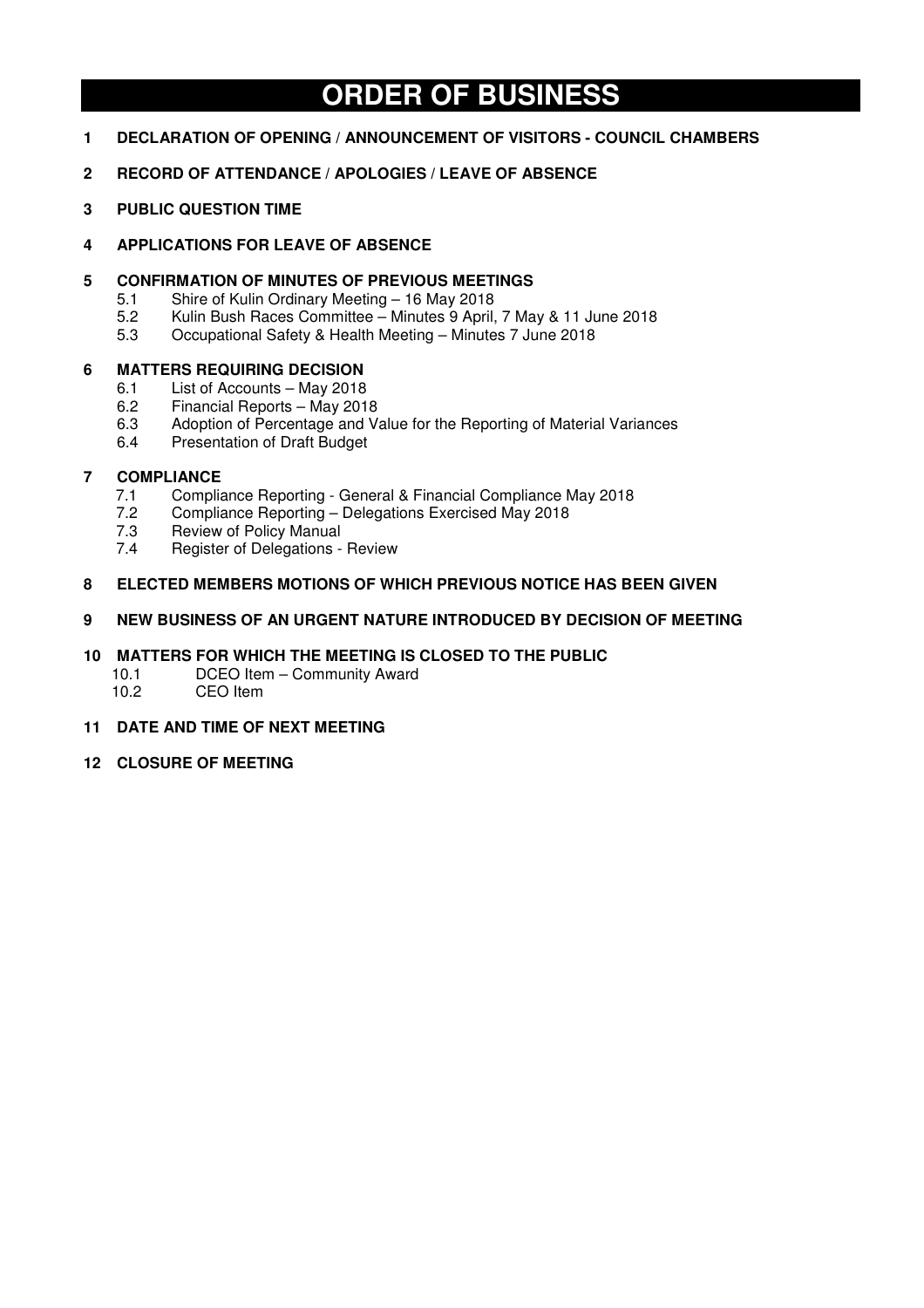# **ORDER OF BUSINESS**

- **1 DECLARATION OF OPENING / ANNOUNCEMENT OF VISITORS COUNCIL CHAMBERS**
- **2 RECORD OF ATTENDANCE / APOLOGIES / LEAVE OF ABSENCE**
- **3 PUBLIC QUESTION TIME**
- **4 APPLICATIONS FOR LEAVE OF ABSENCE**

# **5 CONFIRMATION OF MINUTES OF PREVIOUS MEETINGS**

- 5.1 Shire of Kulin Ordinary Meeting 16 May 2018<br>5.2 Kulin Bush Races Committee Minutes 9 April.
- 5.2 Kulin Bush Races Committee Minutes 9 April, 7 May & 11 June 2018
- 5.3 Occupational Safety & Health Meeting Minutes 7 June 2018

# **6 MATTERS REQUIRING DECISION**

- 6.1 List of Accounts May 2018
- 6.2 Financial Reports May 2018
- 6.3 Adoption of Percentage and Value for the Reporting of Material Variances
- 6.4 Presentation of Draft Budget

# **7 COMPLIANCE**

- 7.1 Compliance Reporting General & Financial Compliance May 2018
- 7.2 Compliance Reporting Delegations Exercised May 2018
- 7.3 Review of Policy Manual
- 7.4 Register of Delegations Review

# **8 ELECTED MEMBERS MOTIONS OF WHICH PREVIOUS NOTICE HAS BEEN GIVEN**

# **9 NEW BUSINESS OF AN URGENT NATURE INTRODUCED BY DECISION OF MEETING**

# **10 MATTERS FOR WHICH THE MEETING IS CLOSED TO THE PUBLIC**

- 10.1 DCEO Item Community Award
- 10.2 CEO Item
- **11 DATE AND TIME OF NEXT MEETING**
- **12 CLOSURE OF MEETING**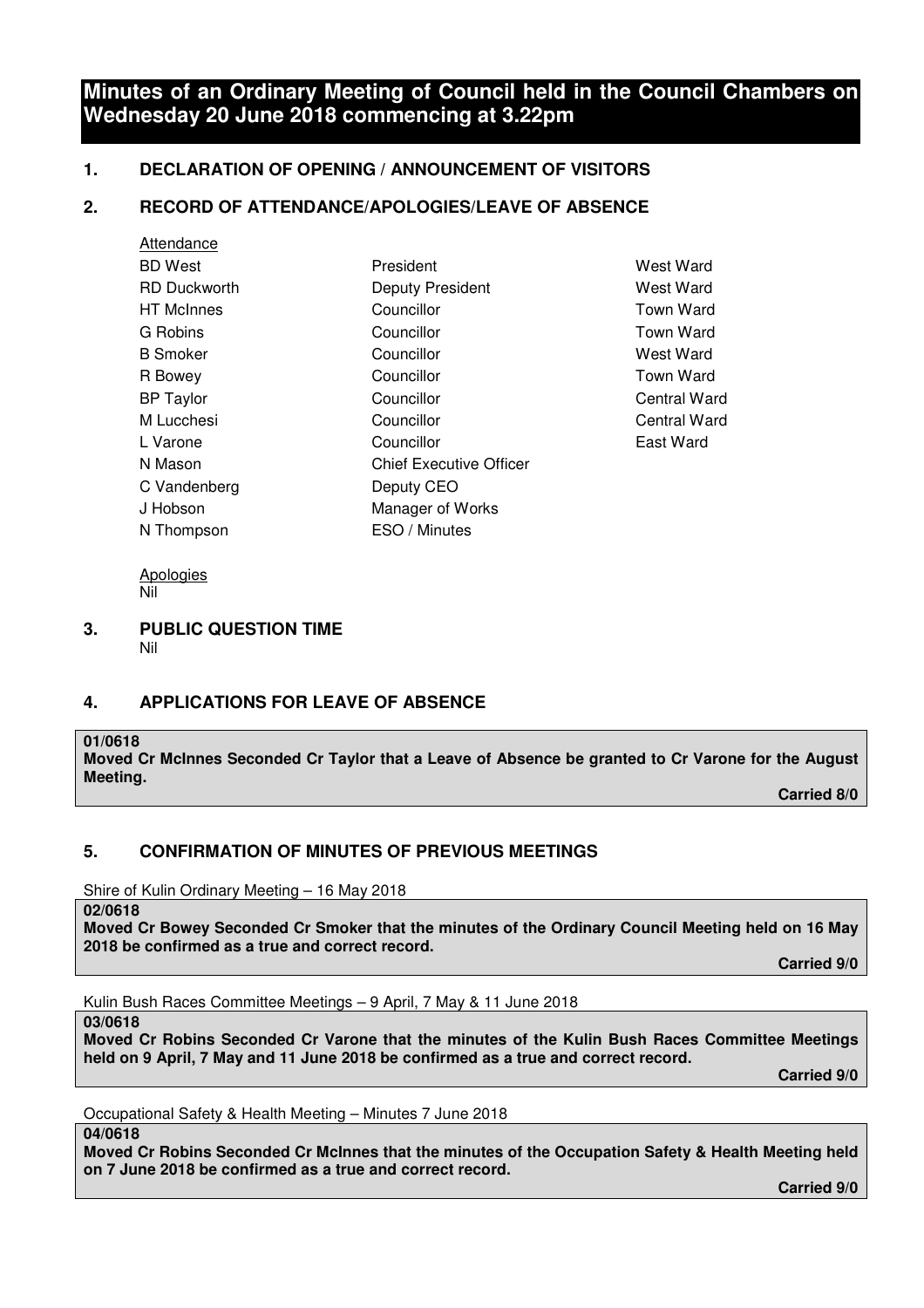# **Minutes of an Ordinary Meeting of Council held in the Council Chambers on Wednesday 20 June 2018 commencing at 3.22pm**

# **1. DECLARATION OF OPENING / ANNOUNCEMENT OF VISITORS**

# **2. RECORD OF ATTENDANCE/APOLOGIES/LEAVE OF ABSENCE**

| Attendance          |                                |                  |
|---------------------|--------------------------------|------------------|
| <b>BD West</b>      | President                      | West Ward        |
| <b>RD Duckworth</b> | <b>Deputy President</b>        | West Ward        |
| HT McInnes          | Councillor                     | <b>Town Ward</b> |
| G Robins            | Councillor                     | <b>Town Ward</b> |
| B Smoker            | Councillor                     | West Ward        |
| R Bowey             | Councillor                     | <b>Town Ward</b> |
| <b>BP Taylor</b>    | Councillor                     | Central Wa       |
| M Lucchesi          | Councillor                     | Central Wa       |
| L Varone            | Councillor                     | East Ward        |
| N Mason             | <b>Chief Executive Officer</b> |                  |
| C Vandenberg        | Deputy CEO                     |                  |
| J Hobson            | Manager of Works               |                  |
| N Thompson          | ESO / Minutes                  |                  |
|                     |                                |                  |

West Ward **West Ward** Town Ward Town Ward West Ward Town Ward Central Ward Central Ward

Apologies Nil

#### **3. PUBLIC QUESTION TIME**  Nil

# **4. APPLICATIONS FOR LEAVE OF ABSENCE**

# **01/0618**

**Moved Cr McInnes Seconded Cr Taylor that a Leave of Absence be granted to Cr Varone for the August Meeting.** 

 **Carried 8/0** 

# **5. CONFIRMATION OF MINUTES OF PREVIOUS MEETINGS**

Shire of Kulin Ordinary Meeting – 16 May 2018

**02/0618** 

**Moved Cr Bowey Seconded Cr Smoker that the minutes of the Ordinary Council Meeting held on 16 May 2018 be confirmed as a true and correct record.** 

 **Carried 9/0** 

Kulin Bush Races Committee Meetings – 9 April, 7 May & 11 June 2018

**03/0618** 

**Moved Cr Robins Seconded Cr Varone that the minutes of the Kulin Bush Races Committee Meetings held on 9 April, 7 May and 11 June 2018 be confirmed as a true and correct record.** 

 **Carried 9/0** 

Occupational Safety & Health Meeting – Minutes 7 June 2018

**04/0618** 

**Moved Cr Robins Seconded Cr McInnes that the minutes of the Occupation Safety & Health Meeting held on 7 June 2018 be confirmed as a true and correct record.** 

 *Carried 9/0* $\sim$  **2000**  $\sim$  **2000**  $\sim$  **2000**  $\sim$  **2000**  $\sim$  **2000**  $\sim$  **2000**  $\sim$  **2000**  $\sim$  **2000**  $\sim$  **2000**  $\sim$  **2000**  $\sim$  **2000**  $\sim$  **2000**  $\sim$  **2000**  $\sim$  **2000**  $\sim$  **2000**  $\sim$  **2000**  $\sim$  **2000**  $\sim$  **2000**  $\sim$  **2000**  $\sim$  **2000**  $\sim$  **2**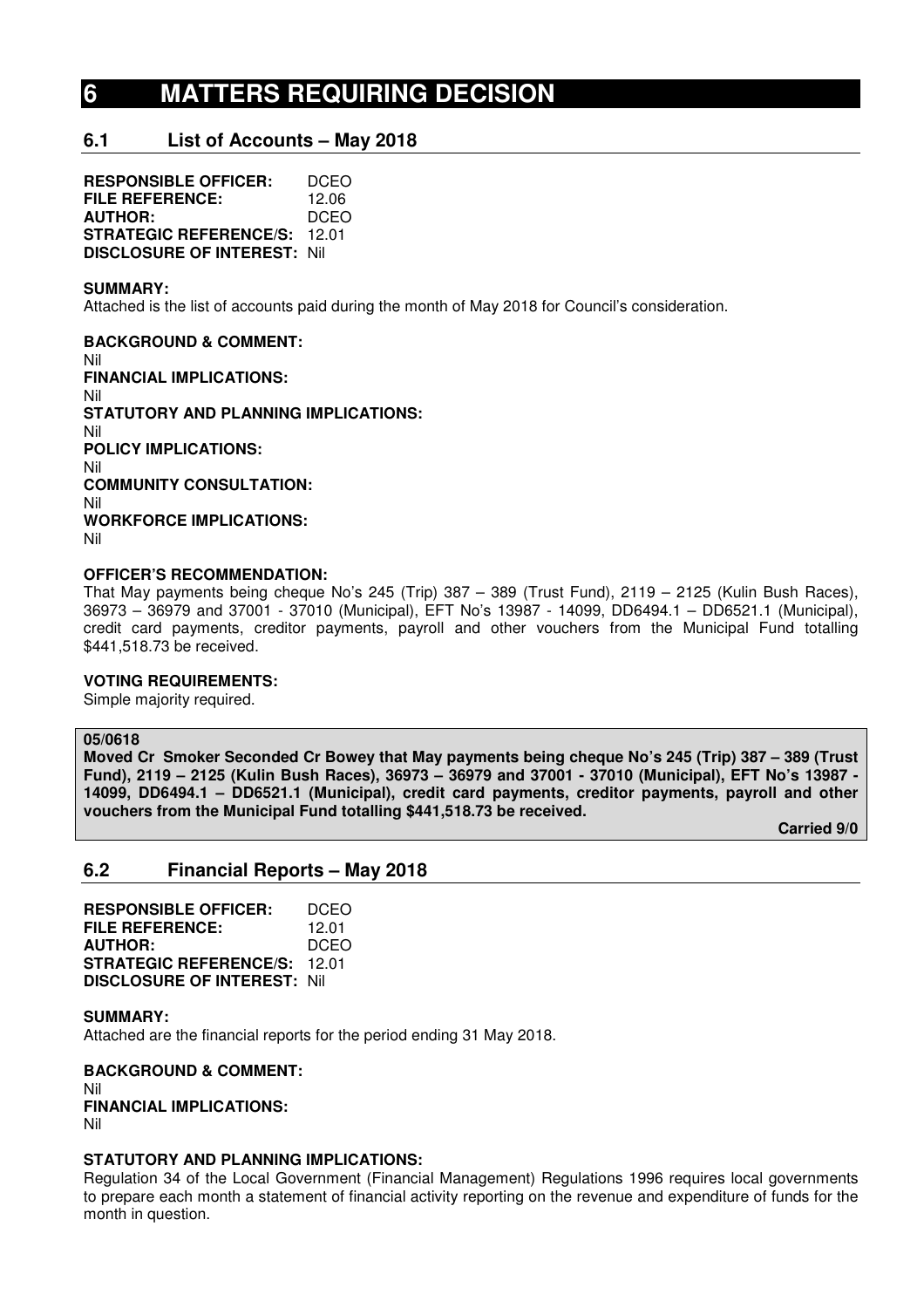# **6 MATTERS REQUIRING DECISION**

# **6.1 List of Accounts – May 2018**

**RESPONSIBLE OFFICER:** DCEO **FILE REFERENCE:** 12.06 **AUTHOR:** DCEO **STRATEGIC REFERENCE/S:** 12.01 **DISCLOSURE OF INTEREST:** Nil

#### **SUMMARY:**

Attached is the list of accounts paid during the month of May 2018 for Council's consideration.

**BACKGROUND & COMMENT:**  Nil **FINANCIAL IMPLICATIONS:**  Nil **STATUTORY AND PLANNING IMPLICATIONS:**  Nil **POLICY IMPLICATIONS:**  Nil **COMMUNITY CONSULTATION:**  Nil **WORKFORCE IMPLICATIONS:**  Nil

### **OFFICER'S RECOMMENDATION:**

That May payments being cheque No's 245 (Trip) 387 – 389 (Trust Fund), 2119 – 2125 (Kulin Bush Races), 36973 – 36979 and 37001 - 37010 (Municipal), EFT No's 13987 - 14099, DD6494.1 – DD6521.1 (Municipal), credit card payments, creditor payments, payroll and other vouchers from the Municipal Fund totalling \$441,518.73 be received.

# **VOTING REQUIREMENTS:**

Simple majority required.

#### **05/0618**

**Moved Cr Smoker Seconded Cr Bowey that May payments being cheque No's 245 (Trip) 387 – 389 (Trust Fund), 2119 – 2125 (Kulin Bush Races), 36973 – 36979 and 37001 - 37010 (Municipal), EFT No's 13987 - 14099, DD6494.1 – DD6521.1 (Municipal), credit card payments, creditor payments, payroll and other vouchers from the Municipal Fund totalling \$441,518.73 be received.** 

 **Carried 9/0** 

# **6.2 Financial Reports – May 2018**

**RESPONSIBLE OFFICER:** DCEO **FILE REFERENCE:** 12.01 **AUTHOR:** DCEO **STRATEGIC REFERENCE/S:** 12.01 **DISCLOSURE OF INTEREST:** Nil

**SUMMARY:**  Attached are the financial reports for the period ending 31 May 2018.

**BACKGROUND & COMMENT:**  Nil **FINANCIAL IMPLICATIONS:**  Nil

#### **STATUTORY AND PLANNING IMPLICATIONS:**

Regulation 34 of the Local Government (Financial Management) Regulations 1996 requires local governments to prepare each month a statement of financial activity reporting on the revenue and expenditure of funds for the month in question.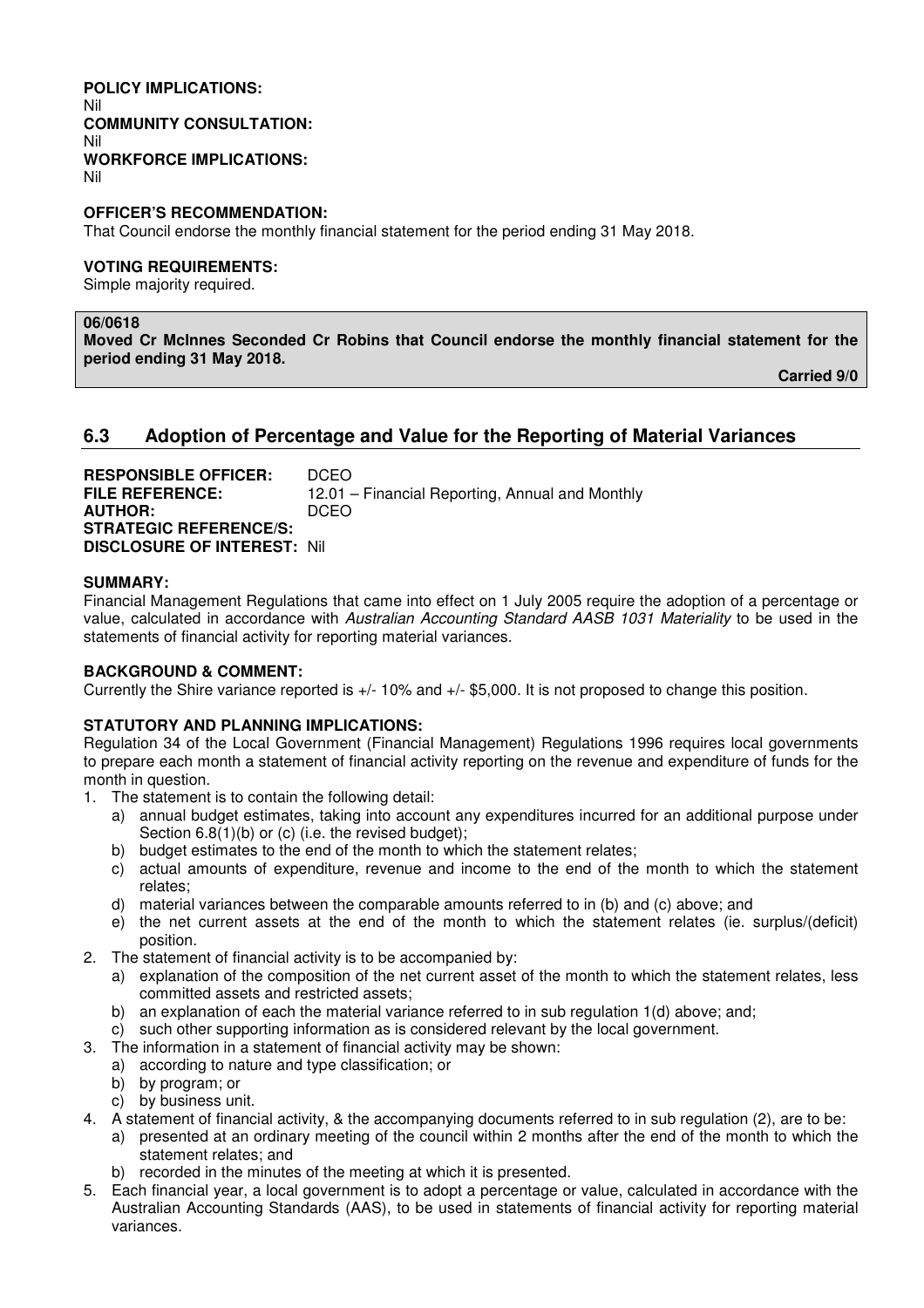#### **POLICY IMPLICATIONS:**  Nil **COMMUNITY CONSULTATION:**  Nil **WORKFORCE IMPLICATIONS:**  Nil

**OFFICER'S RECOMMENDATION:** 

That Council endorse the monthly financial statement for the period ending 31 May 2018.

#### **VOTING REQUIREMENTS:**

Simple majority required.

#### **06/0618**

**Moved Cr McInnes Seconded Cr Robins that Council endorse the monthly financial statement for the period ending 31 May 2018.** 

 **Carried 9/0** 

# **6.3 Adoption of Percentage and Value for the Reporting of Material Variances**

| <b>RESPONSIBLE OFFICER:</b>         | DCEO.                                           |
|-------------------------------------|-------------------------------------------------|
| <b>FILE REFERENCE:</b>              | 12.01 – Financial Reporting, Annual and Monthly |
| <b>AUTHOR:</b>                      | DCEO.                                           |
| <b>STRATEGIC REFERENCE/S:</b>       |                                                 |
| <b>DISCLOSURE OF INTEREST: Nill</b> |                                                 |

#### **SUMMARY:**

Financial Management Regulations that came into effect on 1 July 2005 require the adoption of a percentage or value, calculated in accordance with *Australian Accounting Standard AASB 1031 Materiality* to be used in the statements of financial activity for reporting material variances.

#### **BACKGROUND & COMMENT:**

Currently the Shire variance reported is +/- 10% and +/- \$5,000. It is not proposed to change this position.

#### **STATUTORY AND PLANNING IMPLICATIONS:**

Regulation 34 of the Local Government (Financial Management) Regulations 1996 requires local governments to prepare each month a statement of financial activity reporting on the revenue and expenditure of funds for the month in question.

- 1. The statement is to contain the following detail:
	- a) annual budget estimates, taking into account any expenditures incurred for an additional purpose under Section 6.8(1)(b) or (c) (i.e. the revised budget);
	- b) budget estimates to the end of the month to which the statement relates;
	- c) actual amounts of expenditure, revenue and income to the end of the month to which the statement relates;
	- d) material variances between the comparable amounts referred to in (b) and (c) above; and
	- e) the net current assets at the end of the month to which the statement relates (ie. surplus/(deficit) position.
- 2. The statement of financial activity is to be accompanied by:
	- a) explanation of the composition of the net current asset of the month to which the statement relates, less committed assets and restricted assets;
	- b) an explanation of each the material variance referred to in sub regulation 1(d) above; and;
	- c) such other supporting information as is considered relevant by the local government.
- 3. The information in a statement of financial activity may be shown:
	- a) according to nature and type classification; or
		- b) by program; or
		- c) by business unit.
- 4. A statement of financial activity, & the accompanying documents referred to in sub regulation (2), are to be:
	- a) presented at an ordinary meeting of the council within 2 months after the end of the month to which the statement relates; and
	- b) recorded in the minutes of the meeting at which it is presented.
- 5. Each financial year, a local government is to adopt a percentage or value, calculated in accordance with the Australian Accounting Standards (AAS), to be used in statements of financial activity for reporting material variances.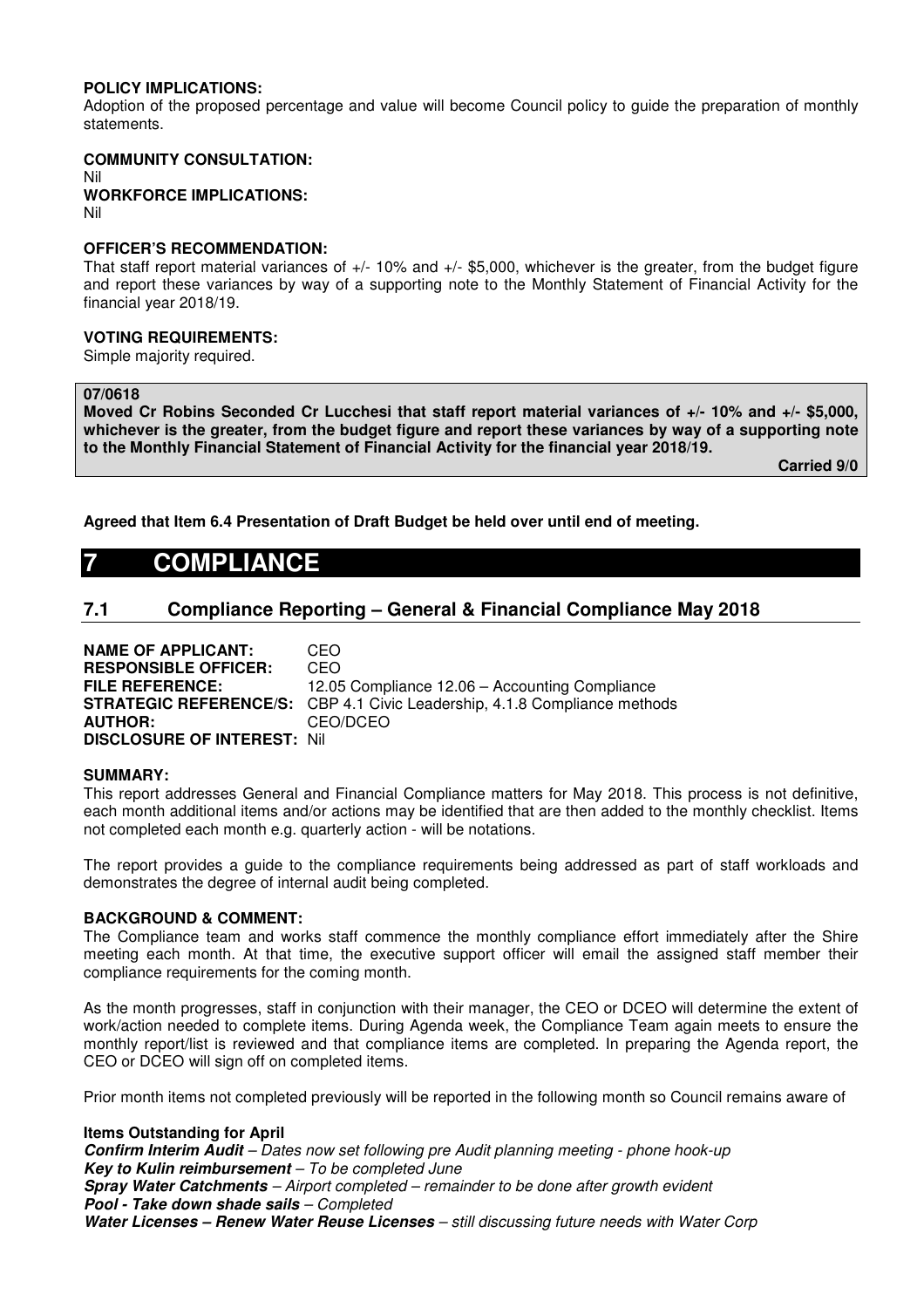### **POLICY IMPLICATIONS:**

Adoption of the proposed percentage and value will become Council policy to guide the preparation of monthly statements.

#### **COMMUNITY CONSULTATION:** Nil **WORKFORCE IMPLICATIONS:** Nil

#### **OFFICER'S RECOMMENDATION:**

That staff report material variances of +/- 10% and +/- \$5,000, whichever is the greater, from the budget figure and report these variances by way of a supporting note to the Monthly Statement of Financial Activity for the financial year 2018/19.

#### **VOTING REQUIREMENTS:**

Simple majority required.

#### **07/0618**

**Moved Cr Robins Seconded Cr Lucchesi that staff report material variances of +/- 10% and +/- \$5,000, whichever is the greater, from the budget figure and report these variances by way of a supporting note to the Monthly Financial Statement of Financial Activity for the financial year 2018/19.** 

 **Carried 9/0** 

**Agreed that Item 6.4 Presentation of Draft Budget be held over until end of meeting.** 

# **7 COMPLIANCE**

# **7.1 Compliance Reporting – General & Financial Compliance May 2018**

**NAME OF APPLICANT:** CEO **RESPONSIBLE OFFICER:** CEO **FILE REFERENCE:** 12.05 Compliance 12.06 – Accounting Compliance **STRATEGIC REFERENCE/S:** CBP 4.1 Civic Leadership, 4.1.8 Compliance methods **AUTHOR:** CEO/DCEO **DISCLOSURE OF INTEREST:** Nil

#### **SUMMARY:**

This report addresses General and Financial Compliance matters for May 2018. This process is not definitive, each month additional items and/or actions may be identified that are then added to the monthly checklist. Items not completed each month e.g. quarterly action - will be notations.

The report provides a guide to the compliance requirements being addressed as part of staff workloads and demonstrates the degree of internal audit being completed.

#### **BACKGROUND & COMMENT:**

The Compliance team and works staff commence the monthly compliance effort immediately after the Shire meeting each month. At that time, the executive support officer will email the assigned staff member their compliance requirements for the coming month.

As the month progresses, staff in conjunction with their manager, the CEO or DCEO will determine the extent of work/action needed to complete items. During Agenda week, the Compliance Team again meets to ensure the monthly report/list is reviewed and that compliance items are completed. In preparing the Agenda report, the CEO or DCEO will sign off on completed items.

Prior month items not completed previously will be reported in the following month so Council remains aware of

#### **Items Outstanding for April**

**Confirm Interim Audit** *– Dates now set following pre Audit planning meeting - phone hook-up*  **Key to Kulin reimbursement** *– To be completed June*  **Spray Water Catchments** *– Airport completed – remainder to be done after growth evident* **Pool - Take down shade sails** *– Completed*  **Water Licenses – Renew Water Reuse Licenses** *– still discussing future needs with Water Corp*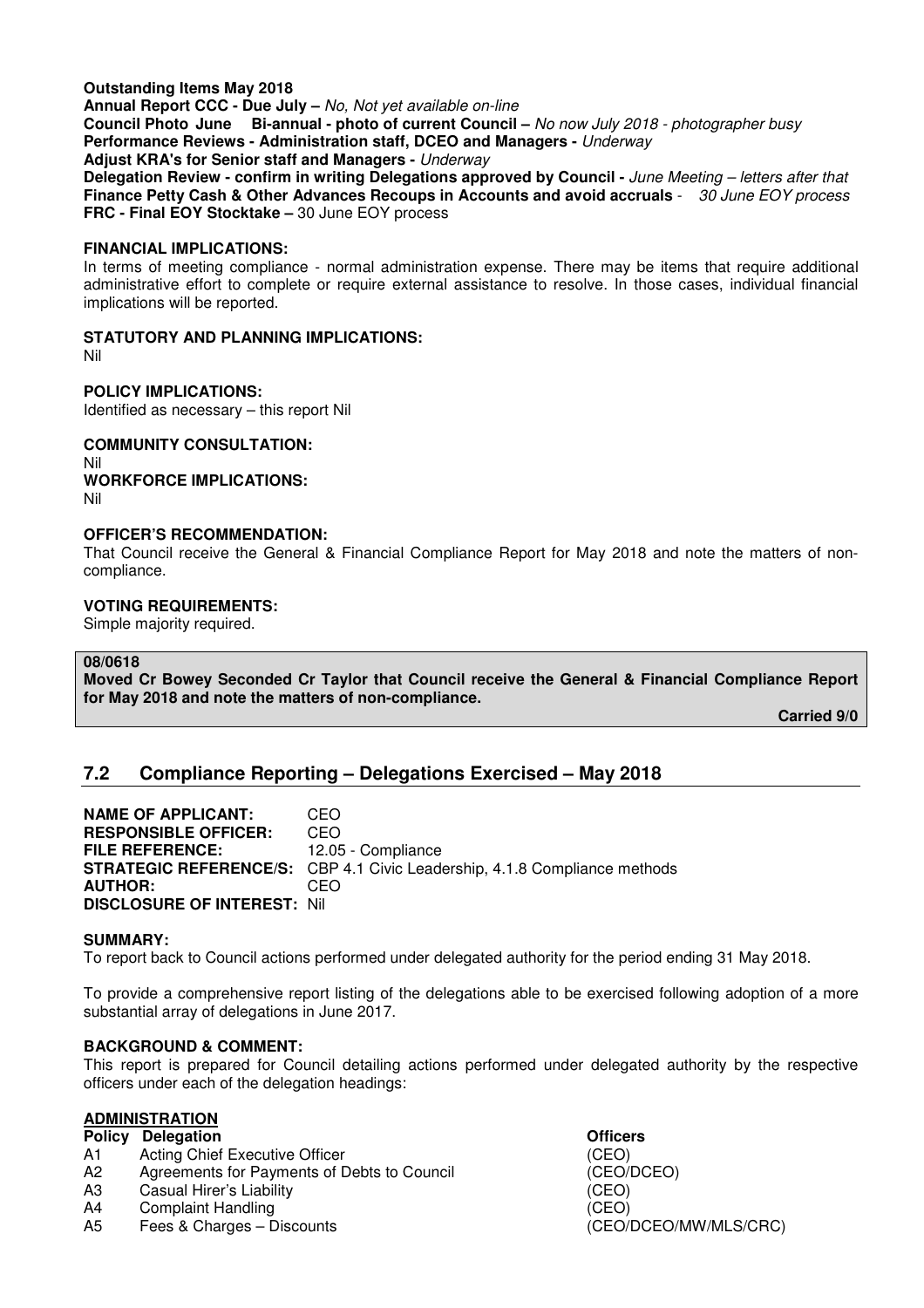### **Outstanding Items May 2018**

**Annual Report CCC - Due July –** *No, Not yet available on-line* **Council Photo June Bi-annual - photo of current Council –** *No now July 2018 - photographer busy* **Performance Reviews - Administration staff, DCEO and Managers -** *Underway*

**Adjust KRA's for Senior staff and Managers -** *Underway*

**Delegation Review - confirm in writing Delegations approved by Council -** *June Meeting – letters after that*  **Finance Petty Cash & Other Advances Recoups in Accounts and avoid accruals** - *30 June EOY process* **FRC - Final EOY Stocktake –** 30 June EOY process

#### **FINANCIAL IMPLICATIONS:**

In terms of meeting compliance - normal administration expense. There may be items that require additional administrative effort to complete or require external assistance to resolve. In those cases, individual financial implications will be reported.

#### **STATUTORY AND PLANNING IMPLICATIONS:**

Nil

**POLICY IMPLICATIONS:**  Identified as necessary – this report Nil

**COMMUNITY CONSULTATION:**  Nil **WORKFORCE IMPLICATIONS:**  Nil

#### **OFFICER'S RECOMMENDATION:**

That Council receive the General & Financial Compliance Report for May 2018 and note the matters of noncompliance.

#### **VOTING REQUIREMENTS:**

Simple majority required.

#### **08/0618**

**Moved Cr Bowey Seconded Cr Taylor that Council receive the General & Financial Compliance Report for May 2018 and note the matters of non-compliance.** 

 **Carried 9/0** 

# **7.2 Compliance Reporting – Delegations Exercised – May 2018**

**NAME OF APPLICANT:** CEO **RESPONSIBLE OFFICER:** CEO **FILE REFERENCE:** 12.05 - Compliance **STRATEGIC REFERENCE/S:** CBP 4.1 Civic Leadership, 4.1.8 Compliance methods **AUTHOR:** CEO **DISCLOSURE OF INTEREST:** Nil

#### **SUMMARY:**

To report back to Council actions performed under delegated authority for the period ending 31 May 2018.

To provide a comprehensive report listing of the delegations able to be exercised following adoption of a more substantial array of delegations in June 2017.

# **BACKGROUND & COMMENT:**

This report is prepared for Council detailing actions performed under delegated authority by the respective officers under each of the delegation headings:

# **ADMINISTRATION**

- **Policy Delegation Contract Contract Contract Delegation Contract Contract Officers**
- A1 Acting Chief Executive Officer (CEO)
- A2 Agreements for Payments of Debts to Council (CEO/DCEO)
- A3 Casual Hirer's Liability (CEO)
- A4 Complaint Handling (CEO)
- A5 Fees & Charges Discounts (CEO/DCEO/MW/MLS/CRC)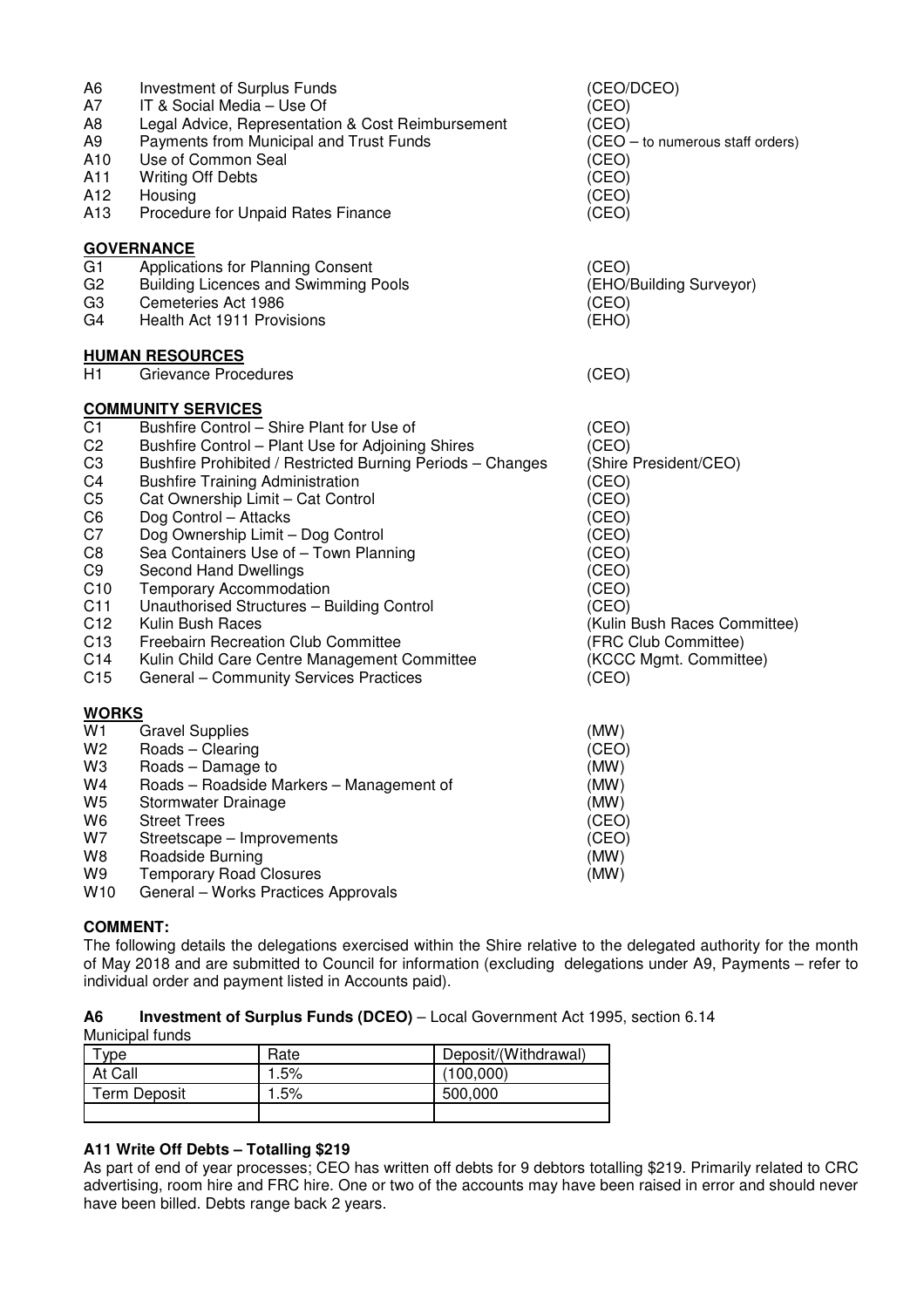| A <sub>6</sub><br>A7<br>A8<br>A9<br>A10<br>A11<br>A12<br>A13                                 | Investment of Surplus Funds<br>IT & Social Media - Use Of<br>Legal Advice, Representation & Cost Reimbursement<br>Payments from Municipal and Trust Funds<br>Use of Common Seal<br><b>Writing Off Debts</b><br>Housing<br>Procedure for Unpaid Rates Finance | (CEO/DCEO)<br>(CEO)<br>(CEO)<br>(CEO - to numerous staff orders)<br>(CEO)<br>(CEO)<br>(CEO)<br>(CEO)      |
|----------------------------------------------------------------------------------------------|--------------------------------------------------------------------------------------------------------------------------------------------------------------------------------------------------------------------------------------------------------------|-----------------------------------------------------------------------------------------------------------|
|                                                                                              | <b>GOVERNANCE</b>                                                                                                                                                                                                                                            |                                                                                                           |
| G <sub>1</sub><br>G <sub>2</sub><br>G <sub>3</sub><br>G4                                     | Applications for Planning Consent<br><b>Building Licences and Swimming Pools</b><br>Cemeteries Act 1986<br><b>Health Act 1911 Provisions</b>                                                                                                                 | (CEO)<br>(EHO/Building Surveyor)<br>(CEO)<br>(EHO)                                                        |
|                                                                                              | <b>HUMAN RESOURCES</b>                                                                                                                                                                                                                                       |                                                                                                           |
| H1                                                                                           | Grievance Procedures                                                                                                                                                                                                                                         | (CEO)                                                                                                     |
| C <sub>1</sub><br>C <sub>2</sub><br>C <sub>3</sub>                                           | <b>COMMUNITY SERVICES</b><br>Bushfire Control - Shire Plant for Use of<br>Bushfire Control - Plant Use for Adjoining Shires<br>Bushfire Prohibited / Restricted Burning Periods - Changes                                                                    | (CEO)<br>(CEO)<br>(Shire President/CEO)                                                                   |
| C <sub>4</sub><br>C <sub>5</sub><br>C <sub>6</sub><br>C7<br>C <sub>8</sub><br>C <sub>9</sub> | <b>Bushfire Training Administration</b><br>Cat Ownership Limit - Cat Control<br>Dog Control - Attacks<br>Dog Ownership Limit - Dog Control<br>Sea Containers Use of - Town Planning<br>Second Hand Dwellings                                                 | (CEO)<br>(CEO)<br>(CEO)<br>(CEO)<br>(CEO)<br>(CEO)                                                        |
| C10<br>C11<br>C <sub>12</sub><br>C <sub>13</sub><br>C14<br>C <sub>15</sub>                   | <b>Temporary Accommodation</b><br>Unauthorised Structures - Building Control<br>Kulin Bush Races<br>Freebairn Recreation Club Committee<br>Kulin Child Care Centre Management Committee<br>General - Community Services Practices                            | (CEO)<br>(CEO)<br>(Kulin Bush Races Committee)<br>(FRC Club Committee)<br>(KCCC Mgmt. Committee)<br>(CEO) |
|                                                                                              |                                                                                                                                                                                                                                                              |                                                                                                           |
| <b>WORKS</b>                                                                                 |                                                                                                                                                                                                                                                              |                                                                                                           |
| W1<br>W <sub>2</sub>                                                                         | <b>Gravel Supplies</b><br>Roads - Clearing                                                                                                                                                                                                                   | (MW)<br>(CEO)                                                                                             |
| W <sub>3</sub>                                                                               | Roads - Damage to                                                                                                                                                                                                                                            | (MW)                                                                                                      |
| W4                                                                                           | Roads - Roadside Markers - Management of                                                                                                                                                                                                                     | (MW)                                                                                                      |
| W <sub>5</sub>                                                                               | Stormwater Drainage                                                                                                                                                                                                                                          | (MW)                                                                                                      |
| W <sub>6</sub>                                                                               | <b>Street Trees</b>                                                                                                                                                                                                                                          | (CEO)                                                                                                     |
| W7<br>W8                                                                                     | Streetscape - Improvements<br>Roadside Burning                                                                                                                                                                                                               | (CEO)<br>(MW)                                                                                             |
| W9                                                                                           | <b>Temporary Road Closures</b>                                                                                                                                                                                                                               | (MW)                                                                                                      |

W10 General – Works Practices Approvals

# **COMMENT:**

The following details the delegations exercised within the Shire relative to the delegated authority for the month of May 2018 and are submitted to Council for information (excluding delegations under A9, Payments – refer to individual order and payment listed in Accounts paid).

**A6 Investment of Surplus Funds (DCEO)** – Local Government Act 1995, section 6.14 Municipal funds

| vpe          | Rate | Deposit/(Withdrawal) |
|--------------|------|----------------------|
| At Call      | .5%  | (100.000)            |
| Term Deposit | .5%  | 500,000              |
|              |      |                      |

# **A11 Write Off Debts – Totalling \$219**

As part of end of year processes; CEO has written off debts for 9 debtors totalling \$219. Primarily related to CRC advertising, room hire and FRC hire. One or two of the accounts may have been raised in error and should never have been billed. Debts range back 2 years.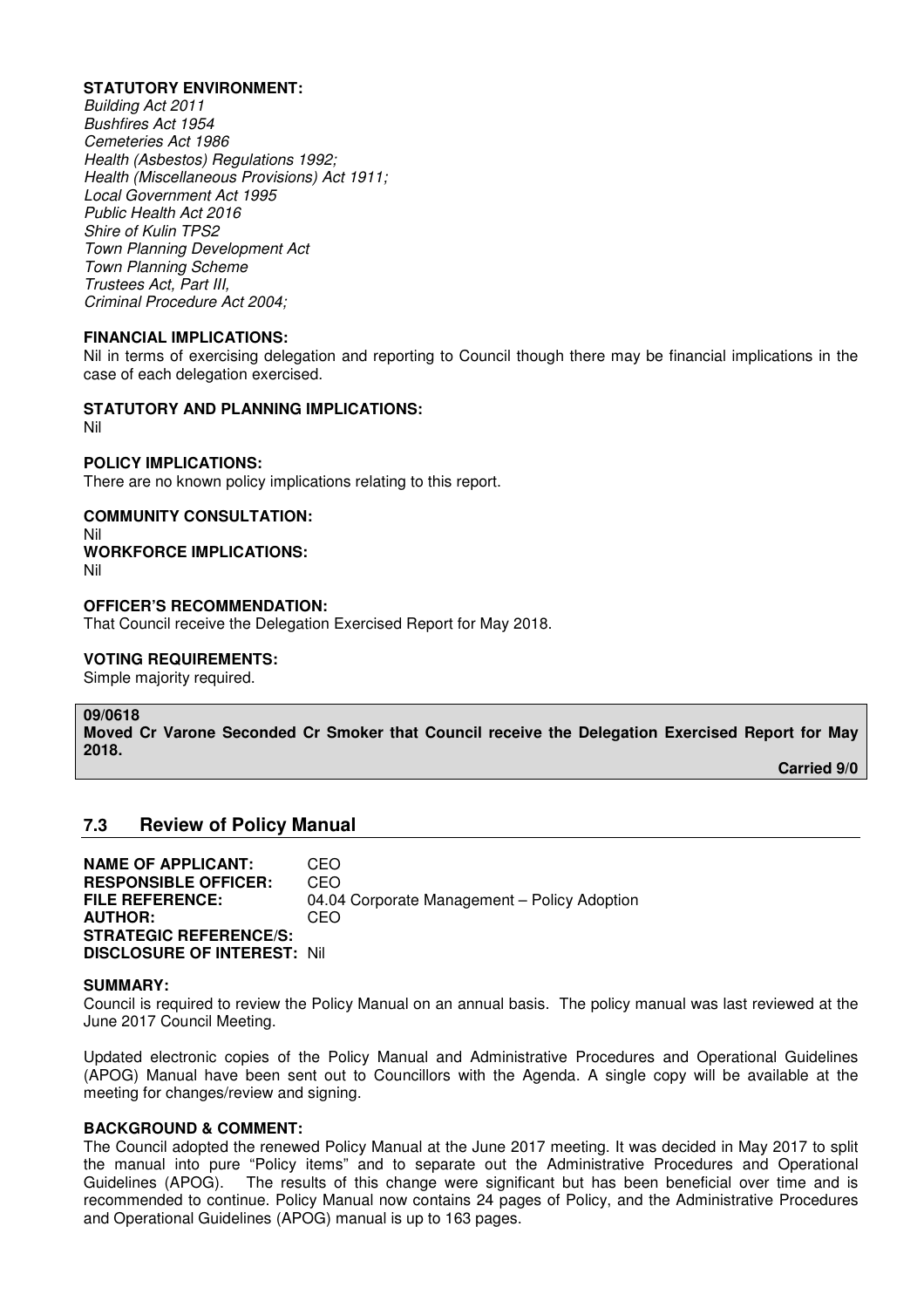### **STATUTORY ENVIRONMENT:**

*Building Act 2011 Bushfires Act 1954 Cemeteries Act 1986 Health (Asbestos) Regulations 1992; Health (Miscellaneous Provisions) Act 1911; Local Government Act 1995 Public Health Act 2016 Shire of Kulin TPS2 Town Planning Development Act Town Planning Scheme Trustees Act, Part III, Criminal Procedure Act 2004;* 

#### **FINANCIAL IMPLICATIONS:**

Nil in terms of exercising delegation and reporting to Council though there may be financial implications in the case of each delegation exercised.

#### **STATUTORY AND PLANNING IMPLICATIONS:**

Nil

# **POLICY IMPLICATIONS:**

There are no known policy implications relating to this report.

#### **COMMUNITY CONSULTATION:**

Nil

# **WORKFORCE IMPLICATIONS:**

Nil

#### **OFFICER'S RECOMMENDATION:**

That Council receive the Delegation Exercised Report for May 2018.

### **VOTING REQUIREMENTS:**

Simple majority required.

# **09/0618**

**Moved Cr Varone Seconded Cr Smoker that Council receive the Delegation Exercised Report for May 2018.** 

 **Carried 9/0** 

# **7.3 Review of Policy Manual**

**NAME OF APPLICANT:** CEO **RESPONSIBLE OFFICER:** CEO<br>**FILE REFERENCE:** 04.04 04.04 Corporate Management – Policy Adoption **AUTHOR:** CEO **STRATEGIC REFERENCE/S: DISCLOSURE OF INTEREST:** Nil

#### **SUMMARY:**

Council is required to review the Policy Manual on an annual basis. The policy manual was last reviewed at the June 2017 Council Meeting.

Updated electronic copies of the Policy Manual and Administrative Procedures and Operational Guidelines (APOG) Manual have been sent out to Councillors with the Agenda. A single copy will be available at the meeting for changes/review and signing.

#### **BACKGROUND & COMMENT:**

The Council adopted the renewed Policy Manual at the June 2017 meeting. It was decided in May 2017 to split the manual into pure "Policy items" and to separate out the Administrative Procedures and Operational Guidelines (APOG). The results of this change were significant but has been beneficial over time and is recommended to continue. Policy Manual now contains 24 pages of Policy, and the Administrative Procedures and Operational Guidelines (APOG) manual is up to 163 pages.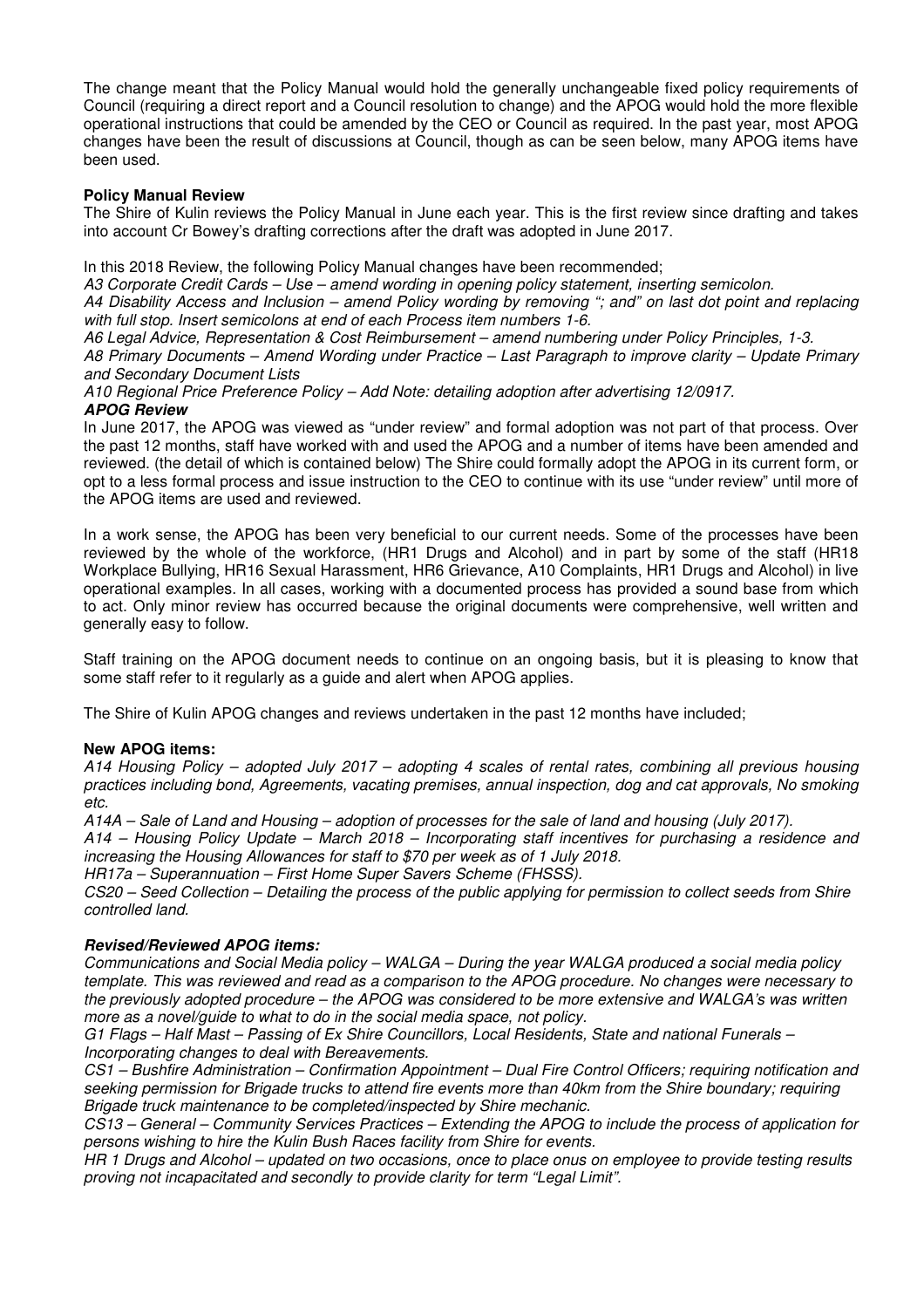The change meant that the Policy Manual would hold the generally unchangeable fixed policy requirements of Council (requiring a direct report and a Council resolution to change) and the APOG would hold the more flexible operational instructions that could be amended by the CEO or Council as required. In the past year, most APOG changes have been the result of discussions at Council, though as can be seen below, many APOG items have been used.

### **Policy Manual Review**

The Shire of Kulin reviews the Policy Manual in June each year. This is the first review since drafting and takes into account Cr Bowey's drafting corrections after the draft was adopted in June 2017.

In this 2018 Review, the following Policy Manual changes have been recommended;

*A3 Corporate Credit Cards – Use – amend wording in opening policy statement, inserting semicolon.* 

*A4 Disability Access and Inclusion – amend Policy wording by removing "; and" on last dot point and replacing with full stop. Insert semicolons at end of each Process item numbers 1-6.* 

*A6 Legal Advice, Representation & Cost Reimbursement – amend numbering under Policy Principles, 1-3. A8 Primary Documents – Amend Wording under Practice – Last Paragraph to improve clarity – Update Primary and Secondary Document Lists* 

*A10 Regional Price Preference Policy – Add Note: detailing adoption after advertising 12/0917.*  **APOG Review** 

In June 2017, the APOG was viewed as "under review" and formal adoption was not part of that process. Over the past 12 months, staff have worked with and used the APOG and a number of items have been amended and reviewed. (the detail of which is contained below) The Shire could formally adopt the APOG in its current form, or opt to a less formal process and issue instruction to the CEO to continue with its use "under review" until more of the APOG items are used and reviewed.

In a work sense, the APOG has been very beneficial to our current needs. Some of the processes have been reviewed by the whole of the workforce, (HR1 Drugs and Alcohol) and in part by some of the staff (HR18 Workplace Bullying, HR16 Sexual Harassment, HR6 Grievance, A10 Complaints, HR1 Drugs and Alcohol) in live operational examples. In all cases, working with a documented process has provided a sound base from which to act. Only minor review has occurred because the original documents were comprehensive, well written and generally easy to follow.

Staff training on the APOG document needs to continue on an ongoing basis, but it is pleasing to know that some staff refer to it regularly as a guide and alert when APOG applies.

The Shire of Kulin APOG changes and reviews undertaken in the past 12 months have included;

# **New APOG items:**

*A14 Housing Policy – adopted July 2017 – adopting 4 scales of rental rates, combining all previous housing practices including bond, Agreements, vacating premises, annual inspection, dog and cat approvals, No smoking etc.* 

*A14A – Sale of Land and Housing – adoption of processes for the sale of land and housing (July 2017).* 

*A14 – Housing Policy Update – March 2018 – Incorporating staff incentives for purchasing a residence and increasing the Housing Allowances for staff to \$70 per week as of 1 July 2018.* 

*HR17a – Superannuation – First Home Super Savers Scheme (FHSSS).* 

*CS20 – Seed Collection – Detailing the process of the public applying for permission to collect seeds from Shire controlled land.* 

# **Revised/Reviewed APOG items:**

*Communications and Social Media policy – WALGA – During the year WALGA produced a social media policy template. This was reviewed and read as a comparison to the APOG procedure. No changes were necessary to the previously adopted procedure – the APOG was considered to be more extensive and WALGA's was written more as a novel/guide to what to do in the social media space, not policy.* 

*G1 Flags – Half Mast – Passing of Ex Shire Councillors, Local Residents, State and national Funerals – Incorporating changes to deal with Bereavements.* 

*CS1 – Bushfire Administration – Confirmation Appointment – Dual Fire Control Officers; requiring notification and seeking permission for Brigade trucks to attend fire events more than 40km from the Shire boundary; requiring Brigade truck maintenance to be completed/inspected by Shire mechanic.* 

*CS13 – General – Community Services Practices – Extending the APOG to include the process of application for persons wishing to hire the Kulin Bush Races facility from Shire for events.* 

*HR 1 Drugs and Alcohol – updated on two occasions, once to place onus on employee to provide testing results proving not incapacitated and secondly to provide clarity for term "Legal Limit".*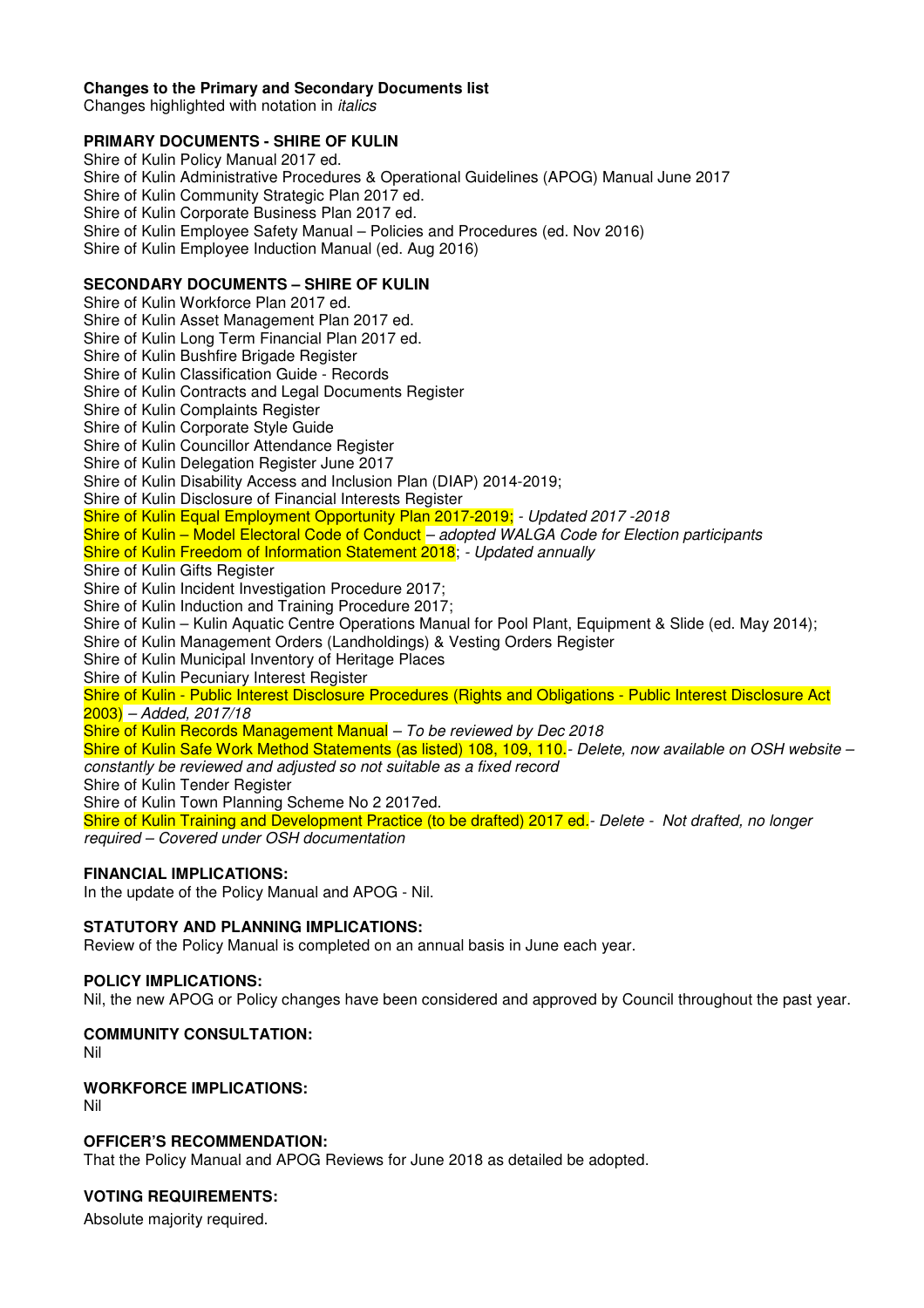# **Changes to the Primary and Secondary Documents list**

Changes highlighted with notation in *italics* 

# **PRIMARY DOCUMENTS - SHIRE OF KULIN**

Shire of Kulin Policy Manual 2017 ed. Shire of Kulin Administrative Procedures & Operational Guidelines (APOG) Manual June 2017 Shire of Kulin Community Strategic Plan 2017 ed. Shire of Kulin Corporate Business Plan 2017 ed. Shire of Kulin Employee Safety Manual – Policies and Procedures (ed. Nov 2016) Shire of Kulin Employee Induction Manual (ed. Aug 2016)

# **SECONDARY DOCUMENTS – SHIRE OF KULIN**

Shire of Kulin Workforce Plan 2017 ed. Shire of Kulin Asset Management Plan 2017 ed. Shire of Kulin Long Term Financial Plan 2017 ed. Shire of Kulin Bushfire Brigade Register Shire of Kulin Classification Guide - Records Shire of Kulin Contracts and Legal Documents Register Shire of Kulin Complaints Register Shire of Kulin Corporate Style Guide Shire of Kulin Councillor Attendance Register Shire of Kulin Delegation Register June 2017 Shire of Kulin Disability Access and Inclusion Plan (DIAP) 2014-2019; Shire of Kulin Disclosure of Financial Interests Register Shire of Kulin Equal Employment Opportunity Plan 2017-2019; *- Updated 2017 -2018* Shire of Kulin – Model Electoral Code of Conduct *– adopted WALGA Code for Election participants*  Shire of Kulin Freedom of Information Statement 2018; *- Updated annually*  Shire of Kulin Gifts Register Shire of Kulin Incident Investigation Procedure 2017; Shire of Kulin Induction and Training Procedure 2017; Shire of Kulin – Kulin Aquatic Centre Operations Manual for Pool Plant, Equipment & Slide (ed. May 2014); Shire of Kulin Management Orders (Landholdings) & Vesting Orders Register Shire of Kulin Municipal Inventory of Heritage Places Shire of Kulin Pecuniary Interest Register Shire of Kulin - Public Interest Disclosure Procedures (Rights and Obligations - Public Interest Disclosure Act 2003) *– Added, 2017/18*  Shire of Kulin Records Management Manual *– To be reviewed by Dec 2018* Shire of Kulin Safe Work Method Statements (as listed) 108, 109, 110.*- Delete, now available on OSH website – constantly be reviewed and adjusted so not suitable as a fixed record* 

Shire of Kulin Tender Register

Shire of Kulin Town Planning Scheme No 2 2017ed.

Shire of Kulin Training and Development Practice (to be drafted) 2017 ed*.- Delete - Not drafted, no longer required – Covered under OSH documentation*

# **FINANCIAL IMPLICATIONS:**

In the update of the Policy Manual and APOG - Nil.

# **STATUTORY AND PLANNING IMPLICATIONS:**

Review of the Policy Manual is completed on an annual basis in June each year.

# **POLICY IMPLICATIONS:**

Nil, the new APOG or Policy changes have been considered and approved by Council throughout the past year.

# **COMMUNITY CONSULTATION:**

Nil

# **WORKFORCE IMPLICATIONS:**

Nil

# **OFFICER'S RECOMMENDATION:**

That the Policy Manual and APOG Reviews for June 2018 as detailed be adopted.

# **VOTING REQUIREMENTS:**

Absolute majority required.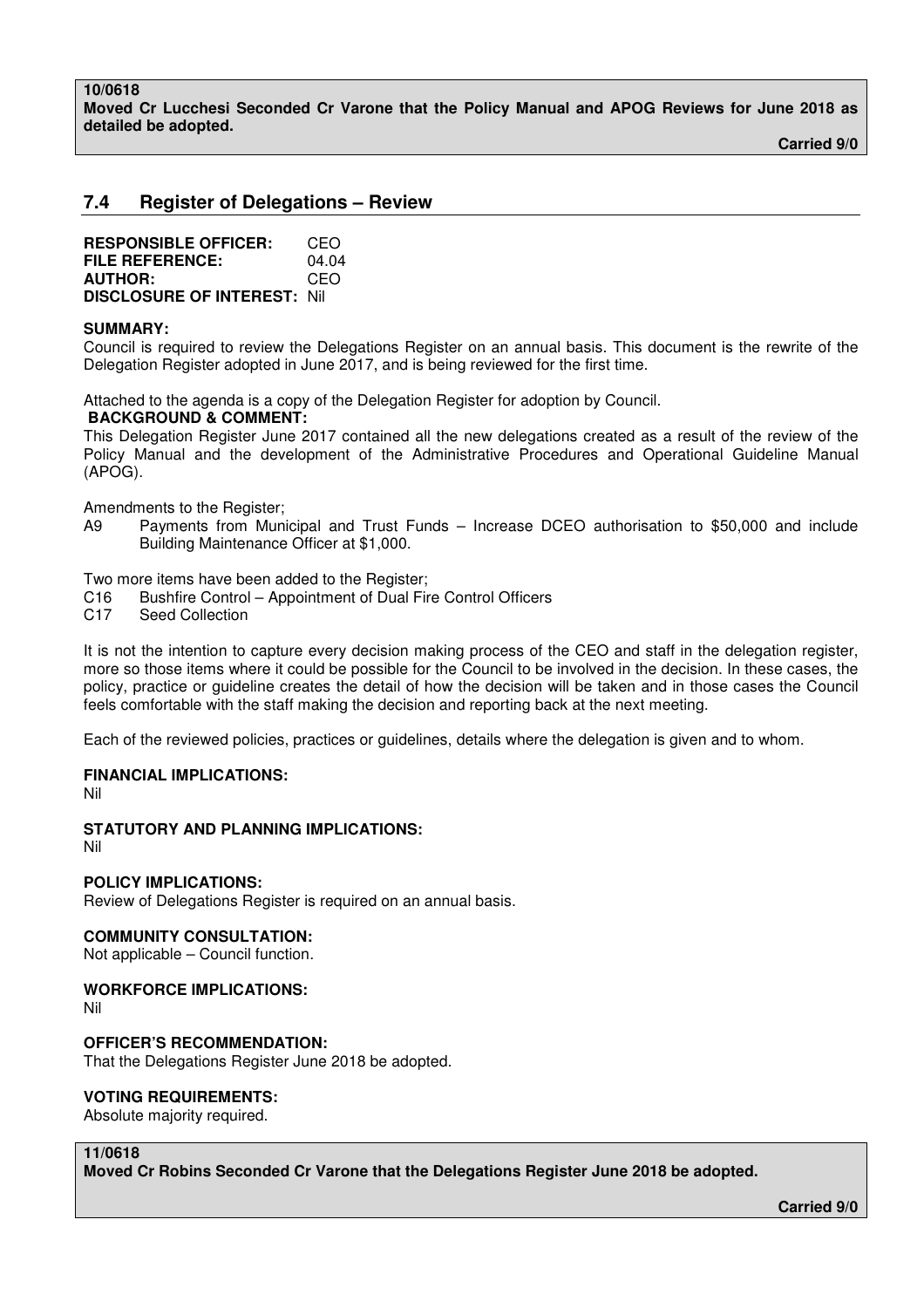**Moved Cr Lucchesi Seconded Cr Varone that the Policy Manual and APOG Reviews for June 2018 as detailed be adopted.** 

 **Carried 9/0** 

# **7.4 Register of Delegations – Review**

| <b>RESPONSIBLE OFFICER:</b>         | CEO   |
|-------------------------------------|-------|
| <b>FILE REFERENCE:</b>              | 04.04 |
| <b>AUTHOR:</b>                      | CEO   |
| <b>DISCLOSURE OF INTEREST: Nill</b> |       |

#### **SUMMARY:**

Council is required to review the Delegations Register on an annual basis. This document is the rewrite of the Delegation Register adopted in June 2017, and is being reviewed for the first time.

Attached to the agenda is a copy of the Delegation Register for adoption by Council.

#### **BACKGROUND & COMMENT:**

This Delegation Register June 2017 contained all the new delegations created as a result of the review of the Policy Manual and the development of the Administrative Procedures and Operational Guideline Manual (APOG).

Amendments to the Register;

A9 Payments from Municipal and Trust Funds – Increase DCEO authorisation to \$50,000 and include Building Maintenance Officer at \$1,000.

Two more items have been added to the Register;

- C16 Bushfire Control Appointment of Dual Fire Control Officers
- C17 Seed Collection

It is not the intention to capture every decision making process of the CEO and staff in the delegation register, more so those items where it could be possible for the Council to be involved in the decision. In these cases, the policy, practice or guideline creates the detail of how the decision will be taken and in those cases the Council feels comfortable with the staff making the decision and reporting back at the next meeting.

Each of the reviewed policies, practices or guidelines, details where the delegation is given and to whom.

# **FINANCIAL IMPLICATIONS:**

Nil

# **STATUTORY AND PLANNING IMPLICATIONS:**

Nil

# **POLICY IMPLICATIONS:**

Review of Delegations Register is required on an annual basis.

#### **COMMUNITY CONSULTATION:**

Not applicable – Council function.

# **WORKFORCE IMPLICATIONS:**

Nil

#### **OFFICER'S RECOMMENDATION:**

That the Delegations Register June 2018 be adopted.

#### **VOTING REQUIREMENTS:**

Absolute majority required.

# **11/0618**

**Moved Cr Robins Seconded Cr Varone that the Delegations Register June 2018 be adopted.**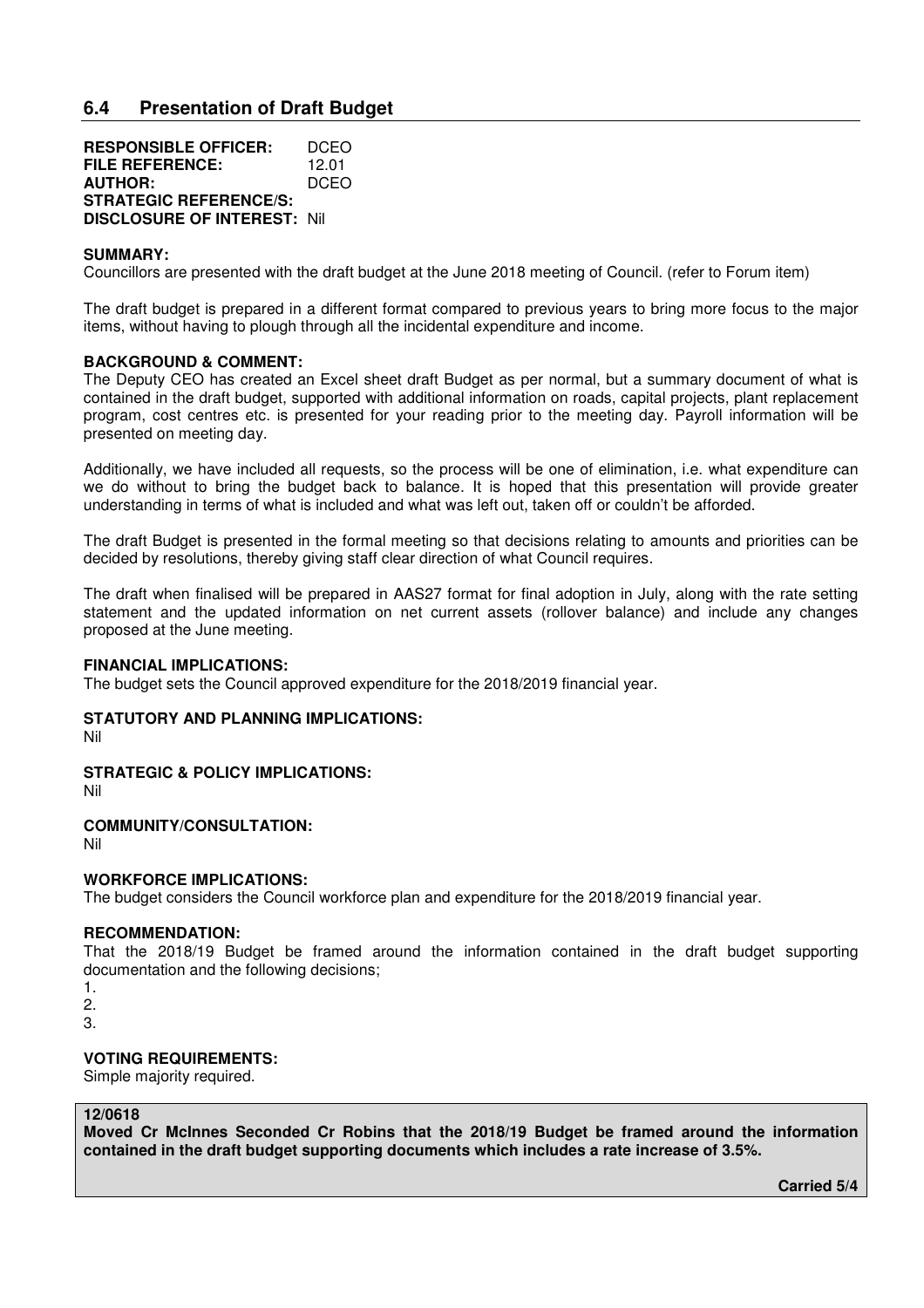# **6.4 Presentation of Draft Budget**

| <b>RESPONSIBLE OFFICER:</b>         | DCEO  |
|-------------------------------------|-------|
| FILE REFERENCE:                     | 12.01 |
| <b>AUTHOR:</b>                      | DCEO  |
| <b>STRATEGIC REFERENCE/S:</b>       |       |
| <b>DISCLOSURE OF INTEREST: Nill</b> |       |

#### **SUMMARY:**

Councillors are presented with the draft budget at the June 2018 meeting of Council. (refer to Forum item)

The draft budget is prepared in a different format compared to previous years to bring more focus to the major items, without having to plough through all the incidental expenditure and income.

#### **BACKGROUND & COMMENT:**

The Deputy CEO has created an Excel sheet draft Budget as per normal, but a summary document of what is contained in the draft budget, supported with additional information on roads, capital projects, plant replacement program, cost centres etc. is presented for your reading prior to the meeting day. Payroll information will be presented on meeting day.

Additionally, we have included all requests, so the process will be one of elimination, i.e. what expenditure can we do without to bring the budget back to balance. It is hoped that this presentation will provide greater understanding in terms of what is included and what was left out, taken off or couldn't be afforded.

The draft Budget is presented in the formal meeting so that decisions relating to amounts and priorities can be decided by resolutions, thereby giving staff clear direction of what Council requires.

The draft when finalised will be prepared in AAS27 format for final adoption in July, along with the rate setting statement and the updated information on net current assets (rollover balance) and include any changes proposed at the June meeting.

#### **FINANCIAL IMPLICATIONS:**

The budget sets the Council approved expenditure for the 2018/2019 financial year.

#### **STATUTORY AND PLANNING IMPLICATIONS:**

Nil

#### **STRATEGIC & POLICY IMPLICATIONS:**

Nil

#### **COMMUNITY/CONSULTATION:**

Nil

#### **WORKFORCE IMPLICATIONS:**

The budget considers the Council workforce plan and expenditure for the 2018/2019 financial year.

#### **RECOMMENDATION:**

That the 2018/19 Budget be framed around the information contained in the draft budget supporting documentation and the following decisions;

- 1.
- 2.
- 3.

# **VOTING REQUIREMENTS:**

Simple majority required.

# **12/0618**

**Moved Cr McInnes Seconded Cr Robins that the 2018/19 Budget be framed around the information contained in the draft budget supporting documents which includes a rate increase of 3.5%.** 

 **Carried 5/4**